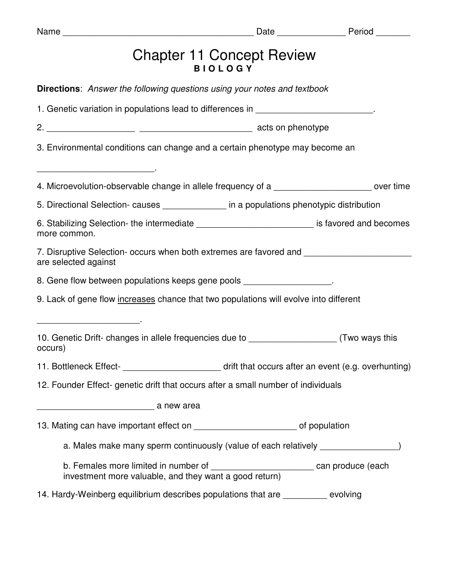| Name                                                                                                                                     |                                                                                   | Date Period |
|------------------------------------------------------------------------------------------------------------------------------------------|-----------------------------------------------------------------------------------|-------------|
|                                                                                                                                          | <b>Chapter 11 Concept Review</b><br><b>BIOLOGY</b>                                |             |
| <b>Directions:</b> Answer the following questions using your notes and textbook                                                          |                                                                                   |             |
| 1. Genetic variation in populations lead to differences in ______________________                                                        |                                                                                   |             |
|                                                                                                                                          |                                                                                   |             |
| 3. Environmental conditions can change and a certain phenotype may become an                                                             |                                                                                   |             |
| 4. Microevolution-observable change in allele frequency of a                                                                             |                                                                                   |             |
| 5. Directional Selection- causes ______________ in a populations phenotypic distribution                                                 |                                                                                   |             |
| 6. Stabilizing Selection- the intermediate _____________________________ is favored and becomes<br>more common.                          |                                                                                   |             |
| 7. Disruptive Selection- occurs when both extremes are favored and<br>are selected against                                               |                                                                                   |             |
| 8. Gene flow between populations keeps gene pools __________________.                                                                    |                                                                                   |             |
| 9. Lack of gene flow increases chance that two populations will evolve into different                                                    |                                                                                   |             |
| 10. Genetic Drift- changes in allele frequencies due to ______________________(Two ways this<br>occurs)                                  |                                                                                   |             |
| 11. Bottleneck Effect- <b>Fig.</b> 11. Bottleneck Effect- <b>Fig.</b> 2011 Learning and Science Covers after an event (e.g. overhunting) |                                                                                   |             |
| 12. Founder Effect- genetic drift that occurs after a small number of individuals                                                        |                                                                                   |             |
|                                                                                                                                          |                                                                                   |             |
| 13. Mating can have important effect on _______________________________of population                                                     |                                                                                   |             |
|                                                                                                                                          | a. Males make many sperm continuously (value of each relatively ________________  |             |
| investment more valuable, and they want a good return)                                                                                   | b. Females more limited in number of ___________________________can produce (each |             |
| 14. Hardy-Weinberg equilibrium describes populations that are _________ evolving                                                         |                                                                                   |             |